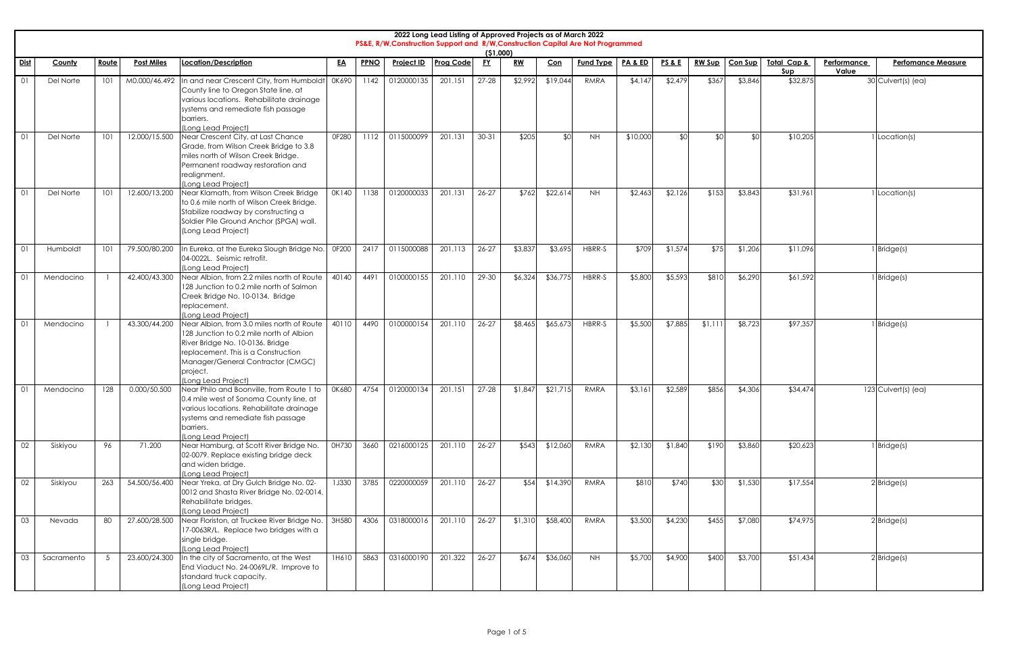|      | 2022 Long Lead Listing of Approved Projects as of March 2022<br>PS&E, R/W, Construction Support and R/W, Construction Capital Are Not Programmed<br>(51,000)<br><b>Post Miles</b><br><b>Project ID</b><br><u>FY</u><br>RW<br><b>Fund Type</b><br>PA&ED<br><b>RW Sup</b><br>Route<br><b>Location/Description</b><br><b>PPNO</b><br><b>Prog Code</b><br>Con<br><b>PS&amp;E</b><br>Con Sup<br>Total Cap &<br>Performance<br><b>Perfomance Measure</b><br>County<br><u>EA</u> |     |               |                                                                                                                                                                                                                                           |              |      |            |         |           |         |          |           |          |         |        |         |          |       |                     |
|------|---------------------------------------------------------------------------------------------------------------------------------------------------------------------------------------------------------------------------------------------------------------------------------------------------------------------------------------------------------------------------------------------------------------------------------------------------------------------------|-----|---------------|-------------------------------------------------------------------------------------------------------------------------------------------------------------------------------------------------------------------------------------------|--------------|------|------------|---------|-----------|---------|----------|-----------|----------|---------|--------|---------|----------|-------|---------------------|
| Dist |                                                                                                                                                                                                                                                                                                                                                                                                                                                                           |     |               |                                                                                                                                                                                                                                           |              |      |            |         |           |         |          |           |          |         |        |         | Sup      | Value |                     |
| -01  | Del Norte                                                                                                                                                                                                                                                                                                                                                                                                                                                                 |     | M0.000/46.492 | In and near Crescent City, from Humboldt<br>County line to Oregon State line, at<br>various locations. Rehabilitate drainage<br>systems and remediate fish passage<br>barriers.<br>(Long Lead Project)                                    | 0K690        | 1142 | 0120000135 | 201.151 | $27 - 28$ | \$2,992 | \$19,044 | RMRA      | \$4,147  | \$2,479 | \$367  | \$3,846 | \$32,875 |       | 30 Culvert(s) (ea)  |
| -01  | Del Norte                                                                                                                                                                                                                                                                                                                                                                                                                                                                 | 101 | 12.000/15.500 | Near Crescent City, at Last Chance<br>Grade, from Wilson Creek Bridge to 3.8<br>miles north of Wilson Creek Bridge.<br>Permanent roadway restoration and<br>realignment.<br>(Long Lead Project)                                           | 0F280        | 1112 | 0115000099 | 201.13  | $30 - 31$ | \$205   | \$0      | <b>NH</b> | \$10,000 | \$0     | \$0    | \$0     | \$10,205 |       | Location(s)         |
| 01   | Del Norte                                                                                                                                                                                                                                                                                                                                                                                                                                                                 | 101 | 12.600/13.200 | Near Klamath, from Wilson Creek Bridge<br>to 0.6 mile north of Wilson Creek Bridge.<br>Stabilize roadway by constructing a<br>Soldier Pile Ground Anchor (SPGA) wall.<br>(Long Lead Project)                                              | 0K140        | 1138 | 0120000033 | 201.131 | $26 - 27$ | \$762   | \$22,614 | <b>NH</b> | \$2,463  | \$2,126 | \$153  | \$3,843 | \$31,961 |       | Location(s)         |
| -01  | Humboldt                                                                                                                                                                                                                                                                                                                                                                                                                                                                  | 101 | 79.500/80.200 | In Eureka, at the Eureka Slough Bridge No.<br>04-0022L. Seismic retrofit.<br>(Long Lead Project)                                                                                                                                          | 0F200        | 2417 | 0115000088 | 201.113 | $26 - 27$ | \$3,837 | \$3,695  | HBRR-S    | \$709    | \$1,574 | \$75   | \$1,206 | \$11,096 |       | Bridge(s)           |
| -01  | Mendocino                                                                                                                                                                                                                                                                                                                                                                                                                                                                 |     | 42.400/43.300 | Near Albion, from 2.2 miles north of Route<br>128 Junction to 0.2 mile north of Salmon<br>Creek Bridge No. 10-0134. Bridge<br>replacement.<br>(Long Lead Project)                                                                         | 40140        | 4491 | 0100000155 | 201.110 | 29-30     | \$6,324 | \$36,775 | HBRR-S    | \$5,800  | \$5,593 | \$810  | \$6,290 | \$61,592 |       | Bridge(s)           |
| -01  | Mendocino                                                                                                                                                                                                                                                                                                                                                                                                                                                                 |     | 43.300/44.200 | Near Albion, from 3.0 miles north of Route<br>128 Junction to 0.2 mile north of Albion<br>River Bridge No. 10-0136. Bridge<br>replacement. This is a Construction<br>Manager/General Contractor (CMGC)<br>project.<br>(Long Lead Project) | 40110        | 4490 | 0100000154 | 201.110 | $26 - 27$ | \$8,465 | \$65,67  | HBRR-S    | \$5,500  | \$7,885 | \$1,11 | \$8,723 | \$97,357 |       | Bridge(s)           |
| 01   | Mendocino                                                                                                                                                                                                                                                                                                                                                                                                                                                                 | 128 | 0.000/50.500  | Near Philo and Boonville, from Route 1 to<br>0.4 mile west of Sonoma County line, at<br>various locations. Rehabilitate drainage<br>systems and remediate fish passage<br>barriers.<br>(Long Lead Project)                                | 0K680        | 4754 | 0120000134 | 201.151 | $27 - 28$ | \$1,847 | \$21,715 | RMRA      | \$3,161  | \$2,589 | \$856  | \$4,306 | \$34,474 |       | 123 Culvert(s) (ea) |
| 02   | Siskiyou                                                                                                                                                                                                                                                                                                                                                                                                                                                                  | 96  | 71.200        | Near Hamburg, at Scott River Bridge No.<br>02-0079. Replace existing bridge deck<br>and widen bridge.<br>(Long Lead Project)                                                                                                              | 0H730        | 3660 | 0216000125 | 201.110 | $26 - 27$ | \$543   | \$12,060 | RMRA      | \$2,130  | \$1,840 | \$190  | \$3,860 | \$20,623 |       | Bridge(s)           |
| 02   | Siskiyou                                                                                                                                                                                                                                                                                                                                                                                                                                                                  | 263 | 54.500/56.400 | Near Yreka, at Dry Gulch Bridge No. 02-<br>0012 and Shasta River Bridge No. 02-0014.<br>Rehabilitate bridges.<br>(Long Lead Project)                                                                                                      | <b>1J330</b> | 3785 | 0220000059 | 201.110 | $26 - 27$ | \$54    | \$14,390 | RMRA      | \$810    | \$740   | \$30   | \$1,530 | \$17,554 |       | $2$ Bridge(s)       |
| 03   | Nevada                                                                                                                                                                                                                                                                                                                                                                                                                                                                    | 80  | 27.600/28.500 | Near Floriston, at Truckee River Bridge No.<br>17-0063R/L. Replace two bridges with a<br>single bridge.<br>(Long Lead Project)                                                                                                            | 3H580        | 4306 | 0318000016 | 201.110 | $26 - 27$ | \$1,310 | \$58,400 | RMRA      | \$3,500  | \$4,230 | \$455  | \$7,080 | \$74,975 |       | $2$ Bridge(s)       |
| 03   | Sacramento                                                                                                                                                                                                                                                                                                                                                                                                                                                                |     | 23.600/24.300 | In the city of Sacramento, at the West<br>End Viaduct No. 24-0069L/R. Improve to<br>standard truck capacity.<br>(Long Lead Project)                                                                                                       | 1H610        | 5863 | 0316000190 | 201.322 | $26 - 27$ | \$674   | \$36,060 | <b>NH</b> | \$5,700  | \$4,900 | \$400  | \$3,700 | \$51,434 |       | $2$ Bridge(s)       |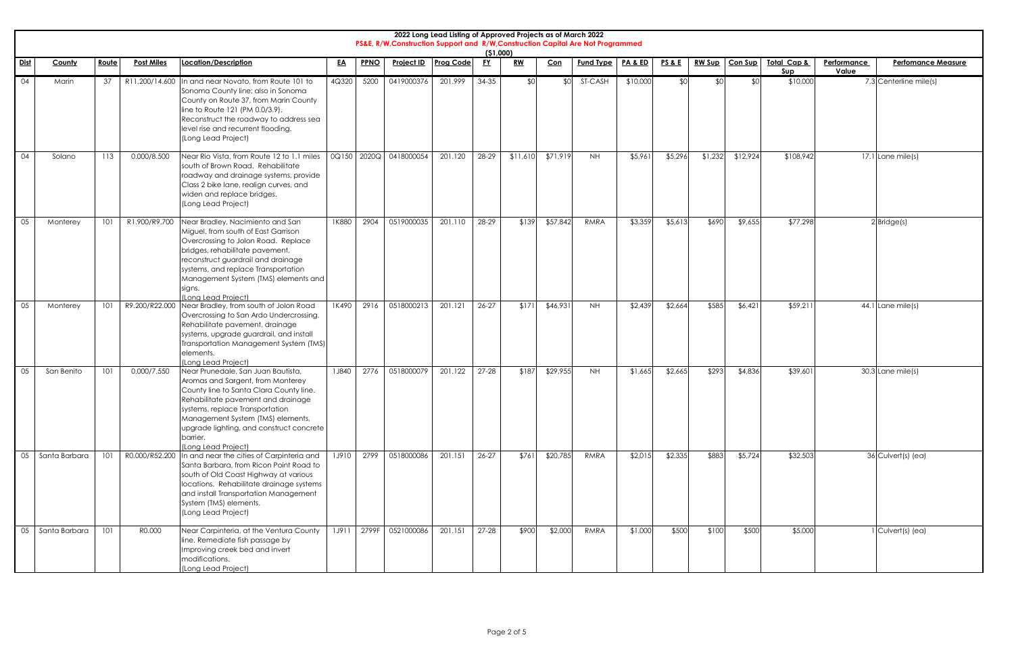|             |                    |       |                   |                                                                                                                                                                                                                                                                                                                 |           |       | PS&E, R/W, Construction Support and R/W, Construction Capital Are Not Programmed | 2022 Long Lead Listing of Approved Projects as of March 2022 |           | (51,000) |          |                  |          |                   |               |           |                               |                      |                           |
|-------------|--------------------|-------|-------------------|-----------------------------------------------------------------------------------------------------------------------------------------------------------------------------------------------------------------------------------------------------------------------------------------------------------------|-----------|-------|----------------------------------------------------------------------------------|--------------------------------------------------------------|-----------|----------|----------|------------------|----------|-------------------|---------------|-----------|-------------------------------|----------------------|---------------------------|
| <u>Dist</u> | County             | Route | <b>Post Miles</b> | Location/Description                                                                                                                                                                                                                                                                                            | <u>EA</u> | PPNO  | <b>Project ID</b>                                                                | <b>Prog Code</b>                                             | <b>FY</b> | $RW$     | Con      | <b>Fund Type</b> | PA&ED    | <b>PS &amp; E</b> | <b>RW Sup</b> | Con Sup   | <b>Total Cap &amp;</b><br>Sup | Performance<br>Value | <b>Perfomance Measure</b> |
| 04          | Marin              | 37    | R11.200/14.600    | In and near Novato, from Route 101 to<br>Sonoma County line; also in Sonoma<br>County on Route 37, from Marin County<br>line to Route 121 (PM 0.0/3.9).<br>Reconstruct the roadway to address sea<br>level rise and recurrent flooding.<br>(Long Lead Project)                                                  | 4Q320     | 5200  | 0419000376                                                                       | 201.999                                                      | 34-35     | \$0      | \$0      | ST-CASH          | \$10,000 | \$0               |               | <b>RO</b> | \$10,000                      |                      | 7.3 Centerline mile(s)    |
| 04          | Solano             | 113   | 0.000/8.500       | Near Rio Vista, from Route 12 to 1.1 miles<br>south of Brown Road. Rehabilitate<br>roadway and drainage systems, provide<br>Class 2 bike lane, realign curves, and<br>widen and replace bridges.<br>(Long Lead Project)                                                                                         | 0Q150     |       | 2020Q 0418000054                                                                 | 201.120                                                      | 28-29     | \$11,610 | \$71,919 | <b>NH</b>        | \$5,961  | \$5,296           | \$1,232       | \$12,924  | \$108,942                     |                      | $17.1$ Lane mile(s)       |
| 05          | Monterey           | 101   | R1.900/R9.700     | Near Bradley, Nacimiento and San<br>Miguel, from south of East Garrison<br>Overcrossing to Jolon Road. Replace<br>bridges, rehabilitate pavement,<br>reconstruct guardrail and drainage<br>systems, and replace Transportation<br>Management System (TMS) elements and<br>signs.<br>(Long Lead Project)         | 1K880     | 2904  | 0519000035                                                                       | 201.110                                                      | 28-29     | \$139    | \$57,842 | <b>RMRA</b>      | \$3,359  | \$5,613           | \$690         | \$9,655   | \$77,298                      |                      | $2$ Bridge(s)             |
| 05          | Monterey           | 101   | R9.200/R22.000    | Near Bradley, from south of Jolon Road<br>Overcrossing to San Ardo Undercrossing.<br>Rehabilitate pavement, drainage<br>systems, upgrade guardrail, and install<br>Transportation Management System (TMS)<br>elements.<br>(Long Lead Project)                                                                   | 1K490     | 2916  | 0518000213                                                                       | 201.121                                                      | 26-27     | \$171    | \$46,931 | <b>NH</b>        | \$2,439  | \$2,664           | \$585         | \$6,421   | \$59,211                      |                      | 44.1 Lane mile(s)         |
| 05          | San Benito         | 101   | 0.000/7.550       | Near Prunedale, San Juan Bautista,<br>Aromas and Sargent, from Monterey<br>County line to Santa Clara County line.<br>Rehabilitate pavement and drainage<br>systems, replace Transportation<br>Management System (TMS) elements,<br>upgrade lighting, and construct concrete<br>barrier.<br>(Long Lead Project) | 1J840     | 2776  | 0518000079                                                                       | 201.122                                                      | $27 - 28$ | \$187    | \$29,955 | <b>NH</b>        | \$1,665  | \$2,665           | \$293         | \$4,836   | \$39,601                      |                      | 30.3 Lane mile(s)         |
| 05          | Santa Barbara      | 101   | R0.000/R52.200    | In and near the cities of Carpinteria and<br>Santa Barbara, from Ricon Point Road to<br>south of Old Coast Highway at various<br>locations. Rehabilitate drainage systems<br>and install Transportation Management<br>System (TMS) elements.<br>(Long Lead Project)                                             | 1J910     | 2799  | 0518000086                                                                       | 201.151                                                      | $26 - 27$ | \$761    | \$20,785 | RMRA             | \$2,015  | \$2,335           | \$883         | \$5,724   | \$32,503                      |                      | 36 Culvert(s) (ea)        |
|             | 05   Santa Barbara | 101   | R0.000            | Near Carpinteria, at the Ventura County<br>line. Remediate fish passage by<br>Improving creek bed and invert<br>modifications.<br>(Long Lead Project)                                                                                                                                                           | 1J911     | 2799F | 0521000086                                                                       | 201.151                                                      | $27 - 28$ | \$900    | \$2,000  | <b>RMRA</b>      | \$1,000  | \$500             | \$100         | \$500     | \$5,000                       |                      | Culvert(s) (ea)           |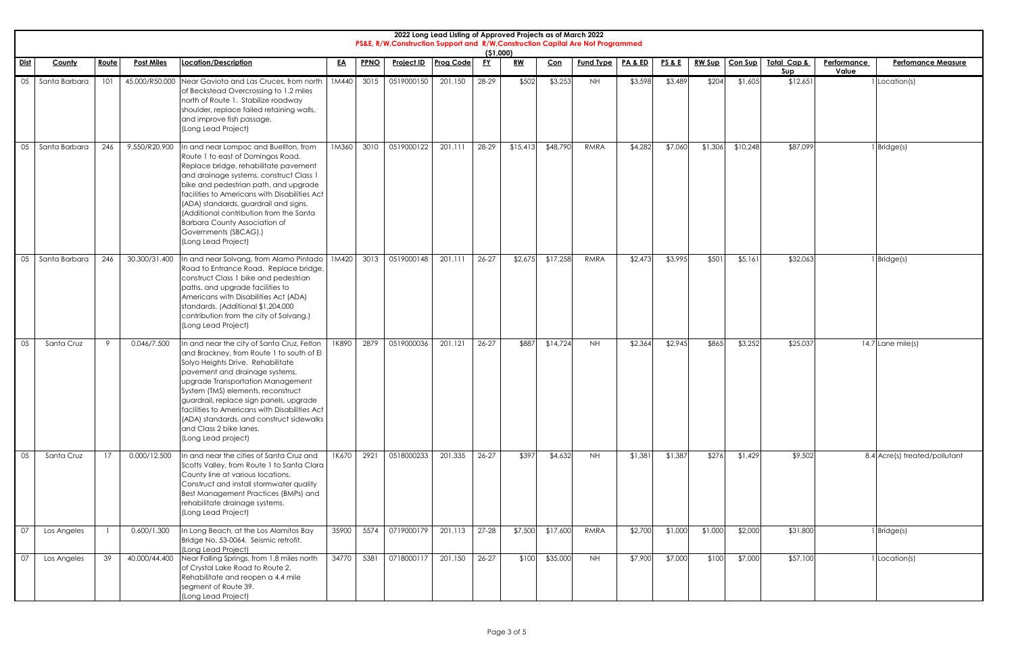|      |               |              |                   |                                                                                                                                                                                                                                                                                                                                                                                                                                       |           |      | PS&E, R/W, Construction Support and R/W, Construction Capital Are Not Programmed | 2022 Long Lead Listing of Approved Projects as of March 2022 | (51,000)  |                                                |          |                  |         |                   |               |          |                    |                      |                               |
|------|---------------|--------------|-------------------|---------------------------------------------------------------------------------------------------------------------------------------------------------------------------------------------------------------------------------------------------------------------------------------------------------------------------------------------------------------------------------------------------------------------------------------|-----------|------|----------------------------------------------------------------------------------|--------------------------------------------------------------|-----------|------------------------------------------------|----------|------------------|---------|-------------------|---------------|----------|--------------------|----------------------|-------------------------------|
| Dist | County        | <u>Route</u> | <b>Post Miles</b> | Location/Description                                                                                                                                                                                                                                                                                                                                                                                                                  | <u>EA</u> | PPNO | Project ID                                                                       | <b>Prog Code</b>                                             | <u>FY</u> | $\underline{\mathbf{R}}\underline{\mathbf{W}}$ | Con      | <b>Fund Type</b> | PA&ED   | <b>PS &amp; E</b> | <b>RW Sup</b> | Con Sup  | Total Cap &<br>Sup | Performance<br>Value | <b>Perfomance Measure</b>     |
| 05   | Santa Barbara | 101          | 45.000/R50.000    | Near Gaviota and Las Cruces, from north<br>of Beckstead Overcrossing to 1.2 miles<br>north of Route 1. Stabilize roadway<br>shoulder, replace failed retaining walls,<br>and improve fish passage.<br>(Long Lead Project)                                                                                                                                                                                                             | 1M440     | 3015 | 0519000150                                                                       | 201.150                                                      | 28-29     | \$502                                          | \$3,253  | <b>NH</b>        | \$3,598 | \$3,489           | \$204         | \$1,605  | \$12,651           |                      | Location(s)                   |
| 05   | Santa Barbara | 246          | 9.550/R20.900     | In and near Lompoc and Buellton, from<br>Route 1 to east of Domingos Road.<br>Replace bridge, rehabilitate pavement<br>and drainage systems, construct Class 1<br>bike and pedestrian path, and upgrade<br>facilities to Americans with Disabilities Act<br>(ADA) standards, guardrail and signs.<br>(Additional contribution from the Santa<br><b>Barbara County Association of</b><br>Governments (SBCAG).)<br>(Long Lead Project)  | 1M360     | 3010 | 0519000122                                                                       | 201.111                                                      | 28-29     | \$15,41                                        | \$48,790 | RMRA             | \$4,282 | \$7,060           | \$1,306       | \$10,248 | \$87,099           |                      | Bridge(s)                     |
| 05   | Santa Barbara | 246          | 30.300/31.400     | In and near Solvang, from Alamo Pintado<br>Road to Entrance Road. Replace bridge,<br>construct Class 1 bike and pedestrian<br>paths, and upgrade facilities to<br>Americans with Disabilities Act (ADA)<br>standards. (Additional \$1,204,000<br>contribution from the city of Solvang.)<br>(Long Lead Project)                                                                                                                       | 1M420     | 3013 | 0519000148                                                                       | 201.111                                                      | $26 - 27$ | \$2,675                                        | \$17,258 | <b>RMRA</b>      | \$2,473 | \$3,995           | \$501         | \$5,161  | \$32,063           |                      | Bridge(s)                     |
|      | 05 Santa Cruz | $\mathsf Q$  | 0.046/7.500       | In and near the city of Santa Cruz, Felton  <br>and Brackney, from Route 1 to south of El<br>Solyo Heights Drive. Rehabilitate<br>pavement and drainage systems,<br>upgrade Transportation Management<br>System (TMS) elements, reconstruct<br>guardrail, replace sign panels, upgrade<br>facilities to Americans with Disabilities Act<br>(ADA) standards, and construct sidewalks<br>and Class 2 bike lanes.<br>(Long Lead project) |           |      | 1K890 2879 0519000036 201.121 26-27                                              |                                                              |           | \$887                                          | \$14,724 | <b>NH</b>        | \$2,364 | \$2,945           | \$865         | \$3,252  | \$25,037           |                      | $14.7$ Lane mile(s)           |
| 05   | Santa Cruz    | 17           | 0.000/12.500      | In and near the cities of Santa Cruz and<br>Scotts Valley, from Route 1 to Santa Clara<br>County line at various locations.<br>Construct and install stormwater quality<br>Best Management Practices (BMPs) and<br>rehabilitate drainage systems.<br>(Long Lead Project)                                                                                                                                                              | 1K670     | 2921 | 0518000233                                                                       | 201.335                                                      | $26 - 27$ | \$397                                          | \$4,632  | <b>NH</b>        | \$1,381 | \$1,387           | \$276         | \$1,429  | \$9,502            |                      | 8.4 Acre(s) treated/pollutant |
| 07   | Los Angeles   |              | 0.600/1.300       | In Long Beach, at the Los Alamitos Bay<br>Bridge No. 53-0064. Seismic retrofit.<br>(Long Lead Project)                                                                                                                                                                                                                                                                                                                                | 35900     |      | 5574 0719000179                                                                  | 201.113                                                      | $27 - 28$ | \$7,500                                        | \$17,600 | RMRA             | \$2,700 | \$1,000           | \$1,000       | \$2,000  | \$31,800           |                      | Bridge(s)                     |
| 07   | Los Angeles   | 39           | 40.000/44.400     | Near Falling Springs, from 1.8 miles north<br>of Crystal Lake Road to Route 2.<br>Rehabilitate and reopen a 4.4 mile<br>segment of Route 39.<br>(Long Lead Project)                                                                                                                                                                                                                                                                   | 34770     | 5381 | 0718000117                                                                       | 201.150                                                      | $26 - 27$ | \$100                                          | \$35,000 | NH               | \$7,900 | \$7,000           | \$100         | \$7,000  | \$57,100           |                      | Location(s)                   |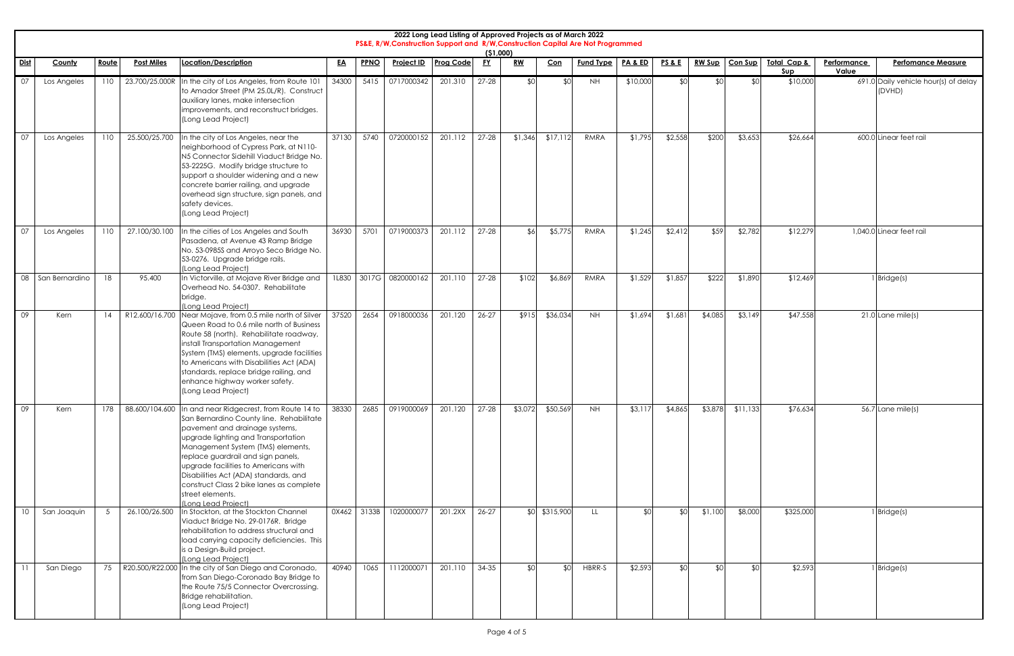|                 | 2022 Long Lead Listing of Approved Projects as of March 2022<br>PS&E, R/W, Construction Support and R/W, Construction Capital Are Not Programmed<br>(51,000)<br><b>RW</b><br><b>PPNO</b><br>Project ID   Prog Code<br><b>FY</b><br><b>Fund Type</b><br>PA&ED<br><b>PS&amp;E</b><br><b>RW Sup</b><br>Route<br><b>Post Miles</b><br><b>Location/Description</b><br>Con<br>Con Sup<br>Total Cap &<br>Performance<br><b>Perfomance Measure</b><br><b>County</b><br><u>EA</u> |     |                    |                                                                                                                                                                                                                                                                                                                                                                                                                  |       |       |                  |         |           |         |                  |           |          |         |         |          |           |       |                                                |
|-----------------|--------------------------------------------------------------------------------------------------------------------------------------------------------------------------------------------------------------------------------------------------------------------------------------------------------------------------------------------------------------------------------------------------------------------------------------------------------------------------|-----|--------------------|------------------------------------------------------------------------------------------------------------------------------------------------------------------------------------------------------------------------------------------------------------------------------------------------------------------------------------------------------------------------------------------------------------------|-------|-------|------------------|---------|-----------|---------|------------------|-----------|----------|---------|---------|----------|-----------|-------|------------------------------------------------|
| <u>Dist</u>     |                                                                                                                                                                                                                                                                                                                                                                                                                                                                          |     |                    |                                                                                                                                                                                                                                                                                                                                                                                                                  |       |       |                  |         |           |         |                  |           |          |         |         |          | $S$ up    | Value |                                                |
| 07              | Los Angeles                                                                                                                                                                                                                                                                                                                                                                                                                                                              | 110 |                    | 23.700/25.000R In the city of Los Angeles, from Route 101<br>to Amador Street (PM 25.0L/R). Construct<br>auxiliary lanes, make intersection<br>improvements, and reconstruct bridges.<br>(Long Lead Project)                                                                                                                                                                                                     | 34300 | 5415  | 0717000342       | 201.310 | $27 - 28$ | \$0     | \$0              | <b>NH</b> | \$10,000 | \$0     | ¢٢      | \$0      | \$10,000  |       | 691.0 Daily vehicle hour(s) of delay<br>(DVHD) |
| 07              | Los Angeles                                                                                                                                                                                                                                                                                                                                                                                                                                                              | 110 | 25.500/25.700      | In the city of Los Angeles, near the<br>neighborhood of Cypress Park, at N110-<br>N5 Connector Sidehill Viaduct Bridge No.<br>53-2225G. Modify bridge structure to<br>support a shoulder widening and a new<br>concrete barrier railing, and upgrade<br>overhead sign structure, sign panels, and<br>safety devices.<br>(Long Lead Project)                                                                      | 37130 | 5740  | 0720000152       | 201.112 | $27 - 28$ | \$1,346 | \$17,112         | RMRA      | \$1,795  | \$2,558 | \$200   | \$3,653  | \$26,664  |       | 600.0 Linear feet rail                         |
| 07              | Los Angeles                                                                                                                                                                                                                                                                                                                                                                                                                                                              | 110 | 27.100/30.100      | In the cities of Los Angeles and South<br>Pasadena, at Avenue 43 Ramp Bridge<br>No. 53-0985S and Arroyo Seco Bridge No.<br>53-0276. Upgrade bridge rails.<br>(Long Lead Project)                                                                                                                                                                                                                                 | 36930 | 5701  | 0719000373       | 201.112 | $27 - 28$ | \$6     | \$5,775          | RMRA      | \$1,245  | \$2,412 | \$59    | \$2,782  | \$12,279  |       | 1,040.0 Linear feet rail                       |
| 08              | San Bernardino                                                                                                                                                                                                                                                                                                                                                                                                                                                           | 18  | 95.400             | In Victorville, at Mojave River Bridge and<br>Overhead No. 54-0307. Rehabilitate<br>bridge.<br>(Long Lead Project)                                                                                                                                                                                                                                                                                               | 1L830 |       | 3017G 0820000162 | 201.110 | $27 - 28$ | \$102   | \$6,869          | RMRA      | \$1,529  | \$1,857 | \$222   | \$1,890  | \$12,469  |       | Bridge(s)                                      |
| 09              | Kern                                                                                                                                                                                                                                                                                                                                                                                                                                                                     | 14  | R12.600/16.700     | Near Mojave, from 0.5 mile north of Silver<br>Queen Road to 0.6 mile north of Business<br>Route 58 (north). Rehabilitate roadway,<br>install Transportation Management<br>System (TMS) elements, upgrade facilities<br>to Americans with Disabilities Act (ADA)<br>standards, replace bridge railing, and<br>enhance highway worker safety.<br>(Long Lead Project)                                               | 37520 | 2654  | 0918000036       | 201.120 | $26 - 27$ | \$915   | \$36,034         | <b>NH</b> | \$1,694  | \$1,681 | \$4,085 | \$3,149  | \$47,558  |       | $21.0$ Lane mile(s)                            |
| 09              | Kern                                                                                                                                                                                                                                                                                                                                                                                                                                                                     |     | 88.600/104.600     | In and near Ridgecrest, from Route 14 to<br>San Bernardino County line. Rehabilitate<br>pavement and drainage systems,<br>upgrade lighting and Transportation<br>Management System (TMS) elements,<br>replace guardrail and sign panels,<br>upgrade facilities to Americans with<br>Disabilities Act (ADA) standards, and<br>construct Class 2 bike lanes as complete<br>street elements.<br>(Long Lead Project) | 38330 | 2685  | 0919000069       | 201.120 | $27 - 28$ | \$3,072 | \$50,569         | <b>NH</b> | \$3,117  | \$4,865 | \$3,878 | \$11,133 | \$76,634  |       | $56.7$ Lane mile(s)                            |
| 10              | San Joaquin                                                                                                                                                                                                                                                                                                                                                                                                                                                              | 5   | 26.100/26.500      | In Stockton, at the Stockton Channel<br>Viaduct Bridge No. 29-0176R. Bridge<br>rehabilitation to address structural and<br>load carrying capacity deficiencies. This<br>is a Design-Build project.<br>(Long Lead Project)                                                                                                                                                                                        | 0X462 | 3133B | 1020000077       | 201.2XX | $26 - 27$ | \$0     | \$315,900        | LL        | \$0      | \$0     | \$1,100 | \$8,000  | \$325,000 |       | I Bridge(s)                                    |
| $\overline{11}$ | San Diego                                                                                                                                                                                                                                                                                                                                                                                                                                                                |     | 75 R20.500/R22.000 | In the city of San Diego and Coronado,<br>from San Diego-Coronado Bay Bridge to<br>the Route 75/5 Connector Overcrossing.<br>Bridge rehabilitation.<br>(Long Lead Project)                                                                                                                                                                                                                                       | 40940 | 1065  | 1112000071       | 201.110 | $34 - 35$ | \$0     | \$0 <sub>1</sub> | HBRR-S    | \$2,593  | \$0     | \$0     | \$0      | \$2,593   |       | Bridge(s)                                      |